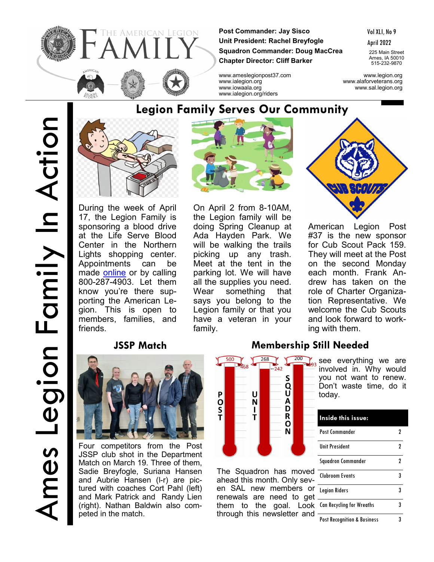

**Post Commander: Jay Sisco Unit President: Rachel Breyfogle Squadron Commander: Doug MacCrea Chapter Director: Cliff Barker**

Vol XLI, No 9

April 2022

225 Main Street Ames, IA 50010 515-232-9870

www.ameslegionpost37.com www.legion.org www.ialegion.org www.alaforveterans.org www.iowaala.org www.sal.legion.org



During the week of April 17, the Legion Family is sponsoring a blood drive at the Life Serve Blood Center in the Northern Lights shopping center. Appointments can be made [online](https://donor.lifeservebloodcenter.org/donor/schedules/center/6?_ga=2.211917140.1975741923.1647877098-1377959993.1647543645) or by calling 800-287-4903. Let them know you're there supporting the American Legion. This is open to members, families, and friends.

www.ialegion.org/riders

On April 2 from 8-10AM, the Legion family will be doing Spring Cleanup at Ada Hayden Park. We will be walking the trails picking up any trash. Meet at the tent in the parking lot. We will have all the supplies you need. Wear something that says you belong to the Legion family or that you have a veteran in your family.



American Legion Post #37 is the new sponsor for Cub Scout Pack 159. They will meet at the Post on the second Monday each month. Frank Andrew has taken on the role of Charter Organization Representative. We welcome the Cub Scouts and look forward to working with them.

## **JSSP Match**



Four competitors from the Post JSSP club shot in the Department Match on March 19. Three of them, Sadie Breyfogle, Suriana Hansen and Aubrie Hansen (l-r) are pictured with coaches Cort Pahl (left) and Mark Patrick and Randy Lien (right). Nathan Baldwin also competed in the match.

## **Membership Still Needed**

today.



The Squadron has move ahead this month. Only seven SAL new members or renewals are need to get them to the goal. Lool through this newsletter and

| Inside this issue:                     |   |
|----------------------------------------|---|
| Post Commander                         | 7 |
| <b>Unit President</b>                  | 2 |
| Squadron Commander                     | 2 |
| <b>Clubroom Events</b>                 | 3 |
| <b>Legion Riders</b>                   | 3 |
| <b>Can Recycling for Wreaths</b>       | 3 |
| <b>Post Recognition &amp; Business</b> | 3 |

involved in. Why would you not want to renew. Don't waste time, do it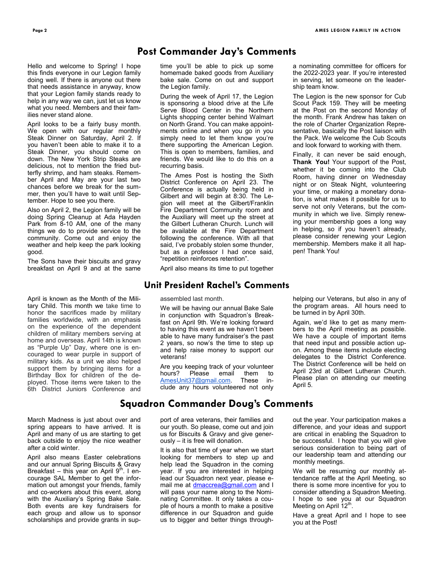a nominating committee for officers for the 2022-2023 year. If you're interested in serving, let someone on the leader-

The Legion is the new sponsor for Cub Scout Pack 159. They will be meeting at the Post on the second Monday of the month. Frank Andrew has taken on the role of Charter Organization Representative, basically the Post liaison with the Pack. We welcome the Cub Scouts and look forward to working with them. Finally, it can never be said enough, **Thank You!** Your support of the Post, whether it be coming into the Club Room, having dinner on Wednesday night or on Steak Night, volunteering your time, or making a monetary donation, is what makes it possible for us to serve not only Veterans, but the community in which we live. Simply renewing your membership goes a long way in helping, so if you haven't already, please consider renewing your Legion membership. Members make it all hap-

ship team know.

pen! Thank You!

## **Post Commander Jay's Comments**

Hello and welcome to Spring! I hope this finds everyone in our Legion family doing well. If there is anyone out there that needs assistance in anyway, know that your Legion family stands ready to help in any way we can, just let us know what you need. Members and their families never stand alone.

April looks to be a fairly busy month. We open with our regular monthly Steak Dinner on Saturday, April 2. If you haven't been able to make it to a Steak Dinner, you should come on down. The New York Strip Steaks are delicious, not to mention the fried butterfly shrimp, and ham steaks. Remember April and May are your last two chances before we break for the summer, then you'll have to wait until September. Hope to see you there.

Also on April 2, the Legion family will be doing Spring Cleanup at Ada Hayden Park from 8-10 AM, one of the many things we do to provide service to the community. Come out and enjoy the weather and help keep the park looking good.

The Sons have their biscuits and gravy breakfast on April 9 and at the same

April is known as the Month of the Military Child. This month we take time to honor the sacrifices made by military families worldwide, with an emphasis on the experience of the dependent children of military members serving at home and overseas. April 14th is known as "Purple Up" Day, where one is encouraged to wear purple in support of military kids. As a unit we also helped support them by bringing items for a Birthday Box for children of the deployed. Those items were taken to the 6th District Juniors Conference and

March Madness is just about over and spring appears to have arrived. It is April and many of us are starting to get back outside to enjoy the nice weather after a cold winter.

April also means Easter celebrations and our annual Spring Biscuits & Gravy Breakfast – this year on April  $9<sup>th</sup>$ . I encourage SAL Member to get the information out amongst your friends, family and co-workers about this event, along with the Auxiliary's Spring Bake Sale. Both events are key fundraisers for each group and allow us to sponsor scholarships and provide grants in suptime you'll be able to pick up some homemade baked goods from Auxiliary bake sale. Come on out and support the Legion family.

During the week of April 17, the Legion is sponsoring a blood drive at the Life Serve Blood Center in the Northern Lights shopping center behind Walmart on North Grand. You can make appointments online and when you go in you simply need to let them know you're there supporting the American Legion. This is open to members, families, and friends. We would like to do this on a recurring basis.

The Ames Post is hosting the Sixth District Conference on April 23. The Conference is actually being held in Gilbert and will begin at 8:30. The Legion will meet at the Gilbert/Franklin Fire Department Community room and the Auxiliary will meet up the street at the Gilbert Lutheran Church. Lunch will be available at the Fire Department following the conference. With all that said, I've probably stolen some thunder, but as a professor I had once said, "repetition reinforces retention".

April also means its time to put together

### **Unit President Rachel's Comments**

assembled last month.

We will be having our annual Bake Sale in conjunction with Squadron's Breakfast on April 9th. We're looking forward to having this event as we haven't been able to have many fundraiser's the past 2 years, so now's the time to step up and help raise money to support our veterans!

Are you keeping track of your volunteer hours? Please email them to [AmesUnit37@gmail.com.](mailto:AmesUnit37@gmail.com) These include any hours volunteered not only

#### helping our Veterans, but also in any of the program areas. All hours need to be turned in by April 30th.

Again, we'd like to get as many members to the April meeting as possible. We have a couple of important items that need input and possible action upon. Among these items include electing delegates to the District Conference. The District Conference will be held on April 23rd at Gilbert Lutheran Church. Please plan on attending our meeting April 5.

### **Squadron Commander Doug's Comments**

port of area veterans, their families and our youth. So please, come out and join us for Biscuits & Gravy and give generously – it is free will donation.

It is also that time of year when we start looking for members to step up and help lead the Squadron in the coming year. If you are interested in helping lead our Squadron next year, please email me at [dmaccrea@gmail.com](mailto:dmaccrea@gmail.com) and I will pass your name along to the Nominating Committee. It only takes a couple of hours a month to make a positive difference in our Squadron and guide us to bigger and better things through-

out the year. Your participation makes a difference, and your ideas and support are critical in enabling the Squadron to be successful. I hope that you will give serious consideration to being part of our leadership team and attending our monthly meetings.

We will be resuming our monthly attendance raffle at the April Meeting, so there is some more incentive for you to consider attending a Squadron Meeting. I hope to see you at our Squadron Meeting on April 12<sup>th</sup>.

Have a great April and I hope to see you at the Post!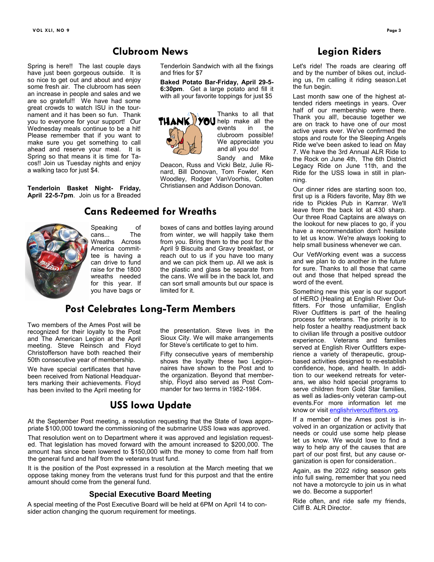Spring is here!! The last couple days have just been gorgeous outside. It is so nice to get out and about and enjoy some fresh air. The clubroom has seen an increase in people and sales and we are so grateful!! We have had some great crowds to watch ISU in the tournament and it has been so fun. Thank you to everyone for your support! Our Wednesday meals continue to be a hit! Please remember that if you want to make sure you get something to call ahead and reserve your meal. It is Spring so that means it is time for Tacos!! Join us Tuesday nights and enjoy a walking taco for just \$4.

**Tenderloin Basket Night- Friday, April 22-5-7pm**. Join us for a Breaded



#### Speaking of<br>cans... The cans. Wreaths Across America committee is having a can drive to fund raise for the 1800 wreaths needed for this year. If you have bags or

Tenderloin Sandwich with all the fixings and fries for \$7

**Baked Potato Bar-Friday, April 29-5- 6:30pm**. Get a large potato and fill it with all your favorite toppings for just \$5



Thanks to all that **TUANK VOU** help make all the events in the clubroom possible! We appreciate you and all you do!

Sandy and Mike Deacon, Russ and Vicki Belz, Julie Rinard, Bill Donovan, Tom Fowler, Ken Woodley, Rodger VanVoorhis, Colten Christiansen and Addison Donovan.

boxes of cans and bottles laying around from winter, we will happily take them from you. Bring them to the post for the April 9 Biscuits and Gravy breakfast, or reach out to us if you have too many and we can pick them up. All we ask is the plastic and glass be separate from the cans. We will be in the back lot, and can sort small amounts but our space is limited for it.

### **Post Celebrates Long-Term Members**

**Cans Redeemed for Wreaths**

**Clubroom News**

Two members of the Ames Post will be recognized for their loyalty to the Post and The American Legion at the April meeting. Steve Reinsch and Floyd Christofferson have both reached their 50th consecutive year of membership.

We have special certificates that have been received from National Headquarters marking their achievements. Floyd has been invited to the April meeting for

the presentation. Steve lives in the Sioux City. We will make arrangements for Steve's certificate to get to him.

Fifty consecutive years of membership shows the loyalty these two Legionnaires have shown to the Post and to the organization. Beyond that membership, Floyd also served as Post Commander for two terms in 1982-1984.

### **USS Iowa Update**

At the September Post meeting, a resolution requesting that the State of Iowa appropriate \$100,000 toward the commissioning of the submarine USS Iowa was approved.

That resolution went on to Department where it was approved and legislation requested. That legislation has moved forward with the amount increased to \$200,000. The amount has since been lowered to \$150,000 with the money to come from half from the general fund and half from the veterans trust fund.

It is the position of the Post expressed in a resolution at the March meeting that we oppose taking money from the veterans trust fund for this purpost and that the entire amount should come from the general fund.

### **Special Executive Board Meeting**

A special meeting of the Post Executive Board will be held at 6PM on April 14 to consider action changing the quorum requirement for meetings.

### **Legion Riders**

Let's ride! The roads are clearing off and by the number of bikes out, including us, I'm calling it riding season.Let the fun begin.

Last month saw one of the highest attended riders meetings in years. Over half of our membership were there. Thank you all!, because together we are on track to have one of our most active years ever. We've confirmed the stops and route for the Sleeping Angels Ride we've been asked to lead on May 7. We have the 3rd Annual ALR Ride to the Rock on June 4th, The 6th District Legacy Ride on June 11th, and the Ride for the USS Iowa in still in planning.

Our dinner rides are starting soon too, first up is a Riders favorite, May 8th we ride to Pickles Pub in Kamrar. We'll leave from the back lot at 430 sharp. Our three Road Captains are always on the lookout for new places to go, if you have a recommendation don't hesitate to let us know. We're always looking to help small business whenever we can.

Our VetWorking event was a success and we plan to do another in the future for sure. Thanks to all those that came out and those that helped spread the word of the event.

Something new this year is our support of HERO (Healing at English River Outfitters. For those unfamiliar, English River Outfitters is part of the healing process for veterans. The priority is to help foster a healthy readjustment back to civilian life through a positive outdoor experience. Veterans and families served at English River Outfitters experience a variety of therapeutic, groupbased activities designed to re-establish confidence, hope, and health. In addition to our weekend retreats for veterans, we also hold special programs to serve children from Gold Star families, as well as ladies-only veteran camp-out events.For more information let me know or visit englishriveroutfitters.org.

If a member of the Ames post is involved in an organization or activity that needs or could use some help please let us know. We would love to find a way to help any of the causes that are part of our post first, but any cause organization is open for consideration..

Again, as the 2022 riding season gets into full swing, remember that you need not have a motorcycle to join us in what we do. Become a supporter!

Ride often, and ride safe my friends, Cliff B. ALR Director.